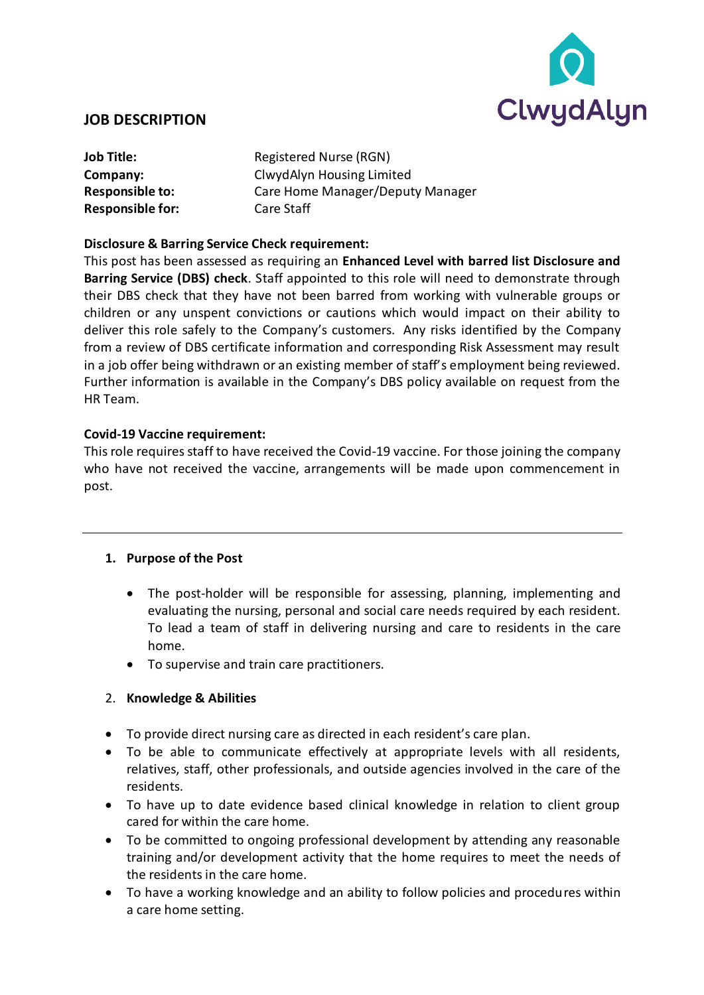

### **JOB DESCRIPTION**

**Responsible for:** Care Staff

**Job Title:** Registered Nurse (RGN) **Company:** ClwydAlyn Housing Limited **Responsible to:** Care Home Manager/Deputy Manager

#### **Disclosure & Barring Service Check requirement:**

This post has been assessed as requiring an **Enhanced Level with barred list Disclosure and Barring Service (DBS) check**. Staff appointed to this role will need to demonstrate through their DBS check that they have not been barred from working with vulnerable groups or children or any unspent convictions or cautions which would impact on their ability to deliver this role safely to the Company's customers. Any risks identified by the Company from a review of DBS certificate information and corresponding Risk Assessment may result in a job offer being withdrawn or an existing member of staff's employment being reviewed. Further information is available in the Company's DBS policy available on request from the HR Team.

#### **Covid-19 Vaccine requirement:**

This role requires staff to have received the Covid-19 vaccine. For those joining the company who have not received the vaccine, arrangements will be made upon commencement in post.

### **1. Purpose of the Post**

- The post-holder will be responsible for assessing, planning, implementing and evaluating the nursing, personal and social care needs required by each resident. To lead a team of staff in delivering nursing and care to residents in the care home.
- To supervise and train care practitioners.

### 2. **Knowledge & Abilities**

- To provide direct nursing care as directed in each resident's care plan.
- To be able to communicate effectively at appropriate levels with all residents, relatives, staff, other professionals, and outside agencies involved in the care of the residents.
- To have up to date evidence based clinical knowledge in relation to client group cared for within the care home.
- To be committed to ongoing professional development by attending any reasonable training and/or development activity that the home requires to meet the needs of the residents in the care home.
- To have a working knowledge and an ability to follow policies and procedures within a care home setting.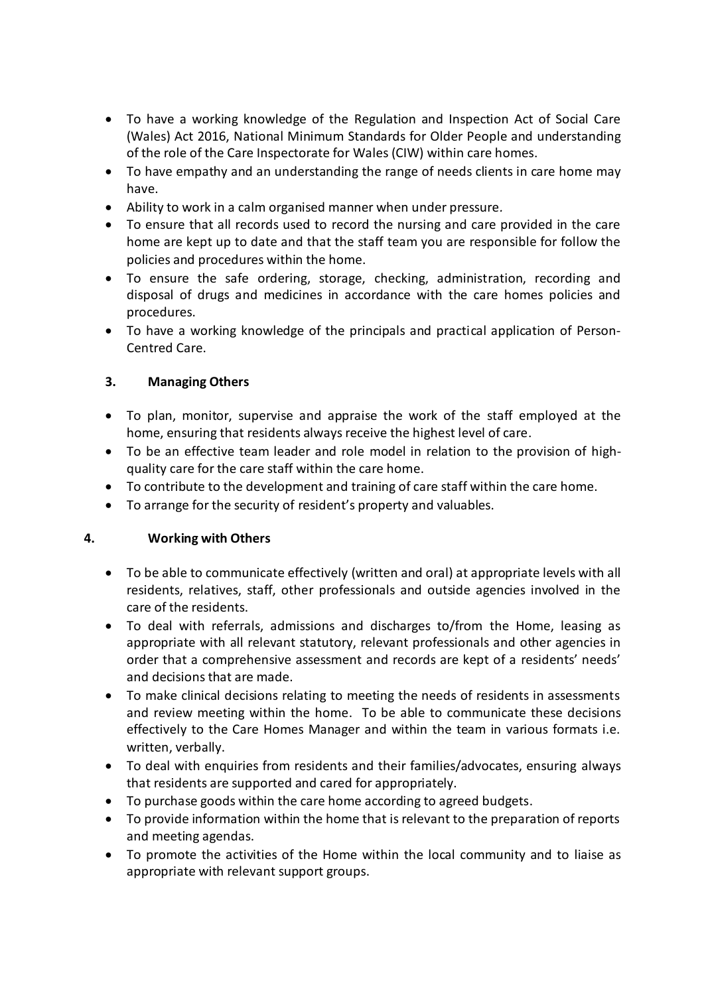- To have a working knowledge of the Regulation and Inspection Act of Social Care (Wales) Act 2016, National Minimum Standards for Older People and understanding of the role of the Care Inspectorate for Wales (CIW) within care homes.
- To have empathy and an understanding the range of needs clients in care home may have.
- Ability to work in a calm organised manner when under pressure*.*
- To ensure that all records used to record the nursing and care provided in the care home are kept up to date and that the staff team you are responsible for follow the policies and procedures within the home.
- To ensure the safe ordering, storage, checking, administration, recording and disposal of drugs and medicines in accordance with the care homes policies and procedures.
- To have a working knowledge of the principals and practical application of Person-Centred Care.

## **3. Managing Others**

- To plan, monitor, supervise and appraise the work of the staff employed at the home, ensuring that residents always receive the highest level of care.
- To be an effective team leader and role model in relation to the provision of highquality care for the care staff within the care home.
- To contribute to the development and training of care staff within the care home.
- To arrange for the security of resident's property and valuables.

### **4. Working with Others**

- To be able to communicate effectively (written and oral) at appropriate levels with all residents, relatives, staff, other professionals and outside agencies involved in the care of the residents.
- To deal with referrals, admissions and discharges to/from the Home, leasing as appropriate with all relevant statutory, relevant professionals and other agencies in order that a comprehensive assessment and records are kept of a residents' needs' and decisions that are made.
- To make clinical decisions relating to meeting the needs of residents in assessments and review meeting within the home. To be able to communicate these decisions effectively to the Care Homes Manager and within the team in various formats i.e. written, verbally.
- To deal with enquiries from residents and their families/advocates, ensuring always that residents are supported and cared for appropriately.
- To purchase goods within the care home according to agreed budgets.
- To provide information within the home that is relevant to the preparation of reports and meeting agendas.
- To promote the activities of the Home within the local community and to liaise as appropriate with relevant support groups.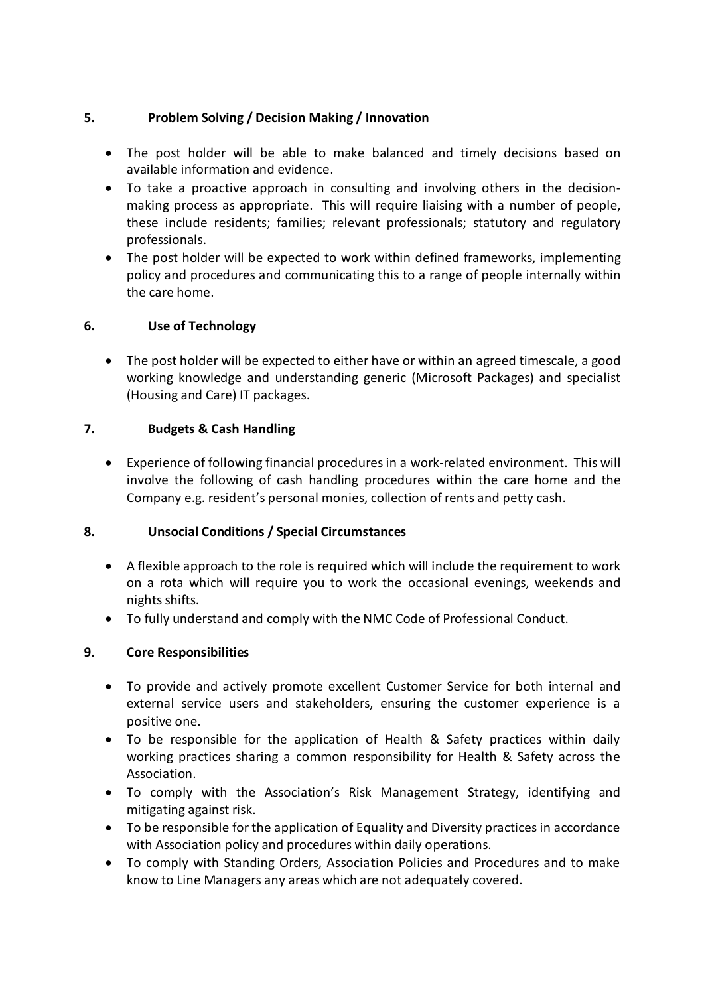## **5. Problem Solving / Decision Making / Innovation**

- The post holder will be able to make balanced and timely decisions based on available information and evidence.
- To take a proactive approach in consulting and involving others in the decisionmaking process as appropriate. This will require liaising with a number of people, these include residents; families; relevant professionals; statutory and regulatory professionals.
- The post holder will be expected to work within defined frameworks, implementing policy and procedures and communicating this to a range of people internally within the care home.

## **6. Use of Technology**

• The post holder will be expected to either have or within an agreed timescale, a good working knowledge and understanding generic (Microsoft Packages) and specialist (Housing and Care) IT packages.

## **7. Budgets & Cash Handling**

• Experience of following financial procedures in a work-related environment. This will involve the following of cash handling procedures within the care home and the Company e.g. resident's personal monies, collection of rents and petty cash.

### **8. Unsocial Conditions / Special Circumstances**

- A flexible approach to the role is required which will include the requirement to work on a rota which will require you to work the occasional evenings, weekends and nights shifts.
- To fully understand and comply with the NMC Code of Professional Conduct.

# **9. Core Responsibilities**

- To provide and actively promote excellent Customer Service for both internal and external service users and stakeholders, ensuring the customer experience is a positive one.
- To be responsible for the application of Health & Safety practices within daily working practices sharing a common responsibility for Health & Safety across the Association.
- To comply with the Association's Risk Management Strategy, identifying and mitigating against risk.
- To be responsible for the application of Equality and Diversity practices in accordance with Association policy and procedures within daily operations.
- To comply with Standing Orders, Association Policies and Procedures and to make know to Line Managers any areas which are not adequately covered.